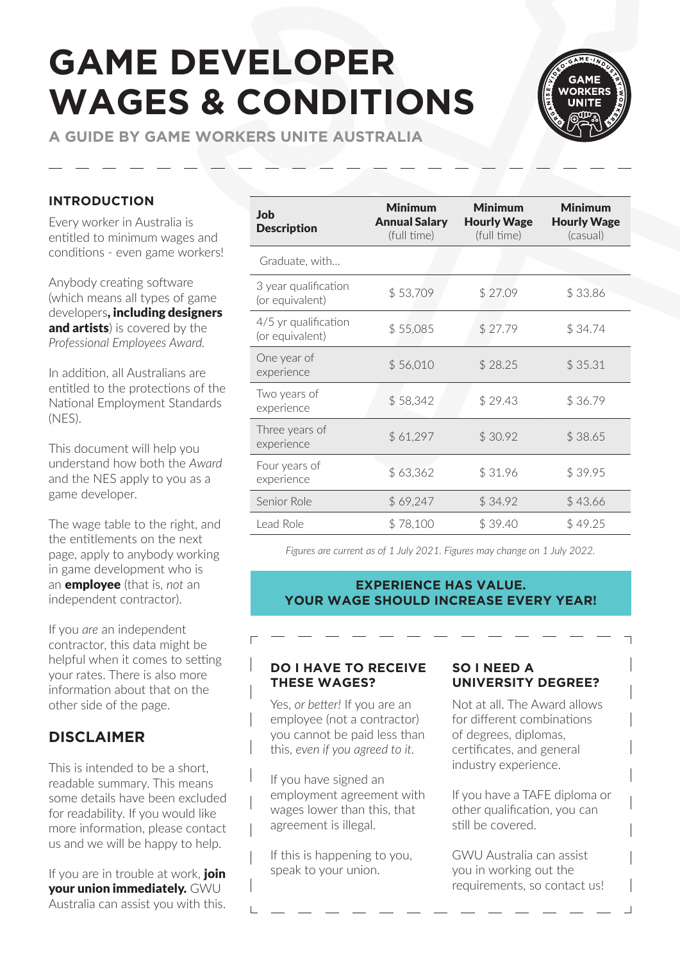# **GAME DEVELOPER WAGES & CONDITIONS**

**A GUIDE BY GAME WORKERS UNITE AUSTRALIA**



#### **INTRODUCTION**

Every worker in Australia is entitled to minimum wages and conditions - even game workers!

Anybody creating software (which means all types of game developers, including designers and artists) is covered by the *[Professional Employees Award](https://www.fwc.gov.au/documents/documents/modern_awards/award/ma000065/default.htm).*

In addition, all Australians are entitled to the protections of the [National Employment Standards](https://www.fairwork.gov.au/employee-entitlements/national-employment-standards)  [\(NES\).](https://www.fairwork.gov.au/employee-entitlements/national-employment-standards)

This document will help you understand how both the *Award* and the NES apply to you as a game developer.

The wage table to the right, and the entitlements on the next page, apply to anybody working in game development who is an employee (that is, *not* an independent contractor).

If you *are* an independent contractor, this data might be helpful when it comes to setting your rates. There is also more information about that on the other side of the page.

## **DISCLAIMER**

This is intended to be a short, readable summary. This means some details have been excluded for readability. If you would like more information, please contact us and we will be happy to help.

If you are in trouble at work, join your union immediately. GWU Australia can assist you with this.

| <b>Job</b><br><b>Description</b>        | <b>Minimum</b><br><b>Annual Salary</b><br>(full time) | <b>Minimum</b><br><b>Hourly Wage</b><br>(full time) | <b>Minimum</b><br><b>Hourly Wage</b><br>(casual) |
|-----------------------------------------|-------------------------------------------------------|-----------------------------------------------------|--------------------------------------------------|
| Graduate, with                          |                                                       |                                                     |                                                  |
| 3 year qualification<br>(or equivalent) | \$53,709                                              | \$27.09                                             | \$33.86                                          |
| 4/5 yr qualification<br>(or equivalent) | \$55,085                                              | \$27.79                                             | \$34.74                                          |
| One year of<br>experience               | \$56,010                                              | \$28.25                                             | \$35.31                                          |
| Two years of<br>experience              | \$58,342                                              | \$29.43                                             | \$36.79                                          |
| Three years of<br>experience            | \$61,297                                              | \$30.92                                             | \$38.65                                          |
| Four years of<br>experience             | \$63,362                                              | \$31.96                                             | \$39.95                                          |
| Senior Role                             | \$69,247                                              | \$34.92                                             | \$43.66                                          |
| Lead Role                               | \$78,100                                              | \$39.40                                             | \$49.25                                          |

*Figures are current as of 1 July 2021. Figures may change on 1 July 2022.*

#### **EXPERIENCE HAS VALUE. YOUR WAGE SHOULD INCREASE EVERY YEAR!**

#### **DO I HAVE TO RECEIVE THESE WAGES?**

Yes, *or better!* If you are an employee (not a contractor) you cannot be paid less than this, *even if you agreed to it.*

If you have signed an employment agreement with wages lower than this, that agreement is illegal.

If this is happening to you, speak to your union.

#### **SO I NEED A UNIVERSITY DEGREE?**

Not at all. The Award allows for different combinations of degrees, diplomas, certificates, and general industry experience.

If you have a TAFE diploma or other qualification, you can still be covered.

GWU Australia can assist you in working out the requirements, so contact us!